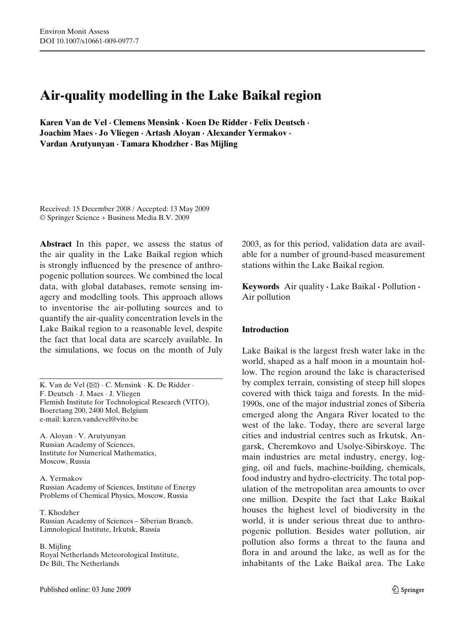# <span id="page-0-0"></span>**Air-quality modelling in the Lake Baikal region**

**Karen Van de Vel · Clemens Mensink · Koen De Ridder · Felix Deutsch · Joachim Maes · Jo Vliegen · Artash Aloyan · Alexander Yermakov · Vardan Arutyunyan · Tamara Khodzher · Bas Mijling**

Received: 15 December 2008 / Accepted: 13 May 2009 © Springer Science + Business Media B.V. 2009

**Abstract** In this paper, we assess the status of the air quality in the Lake Baikal region which is strongly influenced by the presence of anthropogenic pollution sources. We combined the local data, with global databases, remote sensing imagery and modelling tools. This approach allows to inventorise the air-polluting sources and to quantify the air-quality concentration levels in the Lake Baikal region to a reasonable level, despite the fact that local data are scarcely available. In the simulations, we focus on the month of July

K. Van de Vel  $(\boxtimes) \cdot$  C. Mensink  $\cdot$  K. De Ridder  $\cdot$ F. Deutsch · J. Maes · J. Vliegen Flemish Institute for Technological Research (VITO), Boeretang 200, 2400 Mol, Belgium e-mail: karen.vandevel@vito.be

A. Aloyan · V. Arutyunyan Russian Academy of Sciences, Institute for Numerical Mathematics, Moscow, Russia

A. Yermakov

Russian Academy of Sciences, Institute of Energy Problems of Chemical Physics, Moscow, Russia

T. Khodzher

Russian Academy of Sciences – Siberian Branch, Limnological Institute, Irkutsk, Russia

B. Mijling

Royal Netherlands Meteorological Institute, De Bilt, The Netherlands

Published online: 03 June 2009

2003, as for this period, validation data are available for a number of ground-based measurement stations within the Lake Baikal region.

**Keywords** Air quality **·** Lake Baikal **·** Pollution **·** Air pollution

# **Introduction**

Lake Baikal is the largest fresh water lake in the world, shaped as a half moon in a mountain hollow. The region around the lake is characterised by complex terrain, consisting of steep hill slopes covered with thick taiga and forests. In the mid-1990s, one of the major industrial zones of Siberia emerged along the Angara River located to the west of the lake. Today, there are several large cities and industrial centres such as Irkutsk, Angarsk, Cheremkovo and Usolye-Sibirskoye. The main industries are metal industry, energy, logging, oil and fuels, machine-building, chemicals, food industry and hydro-electricity. The total population of the metropolitan area amounts to over one million. Despite the fact that Lake Baikal houses the highest level of biodiversity in the world, it is under serious threat due to anthropogenic pollution. Besides water pollution, air pollution also forms a threat to the fauna and flora in and around the lake, as well as for the inhabitants of the Lake Baikal area. The Lake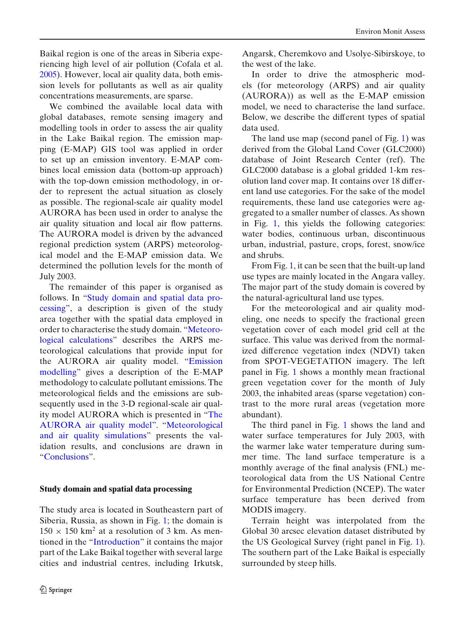<span id="page-1-0"></span>Baikal region is one of the areas in Siberia experiencing high level of air pollution (Cofala et al[.](#page-9-0) [2005\)](#page-9-0). However, local air quality data, both emission levels for pollutants as well as air quality concentrations measurements, are sparse.

We combined the available local data with global databases, remote sensing imagery and modelling tools in order to assess the air quality in the Lake Baikal region. The emission mapping (E-MAP) GIS tool was applied in order to set up an emission inventory. E-MAP combines local emission data (bottom-up approach) with the top-down emission methodology, in order to represent the actual situation as closely as possible. The regional-scale air quality model AURORA has been used in order to analyse the air quality situation and local air flow patterns. The AURORA model is driven by the advanced regional prediction system (ARPS) meteorological model and the E-MAP emission data. We determined the pollution levels for the month of July 2003.

The remainder of this paper is organised as follows. In "Study domain and spatial data processing", a description is given of the study area together with the spatial data employed in order to characterise the study domain. ["Meteoro](#page-3-0)[logical calculations"](#page-3-0) describes the ARPS meteorological calculations that provide input for the AURORA air quality model. ["Emission](#page-3-0) [modelling"](#page-3-0) gives a description of the E-MAP methodology to calculate pollutant emissions. The meteorological fields and the emissions are subsequently used in the 3-D regional-scale air quality model AURORA which is presented in ["The](#page-4-0) [AURORA air quality model"](#page-4-0). ["Meteorological](#page-5-0) [and air quality simulations"](#page-5-0) presents the validation results, and conclusions are drawn in ["Conclusions"](#page-8-0).

# **Study domain and spatial data processing**

The study area is located in Southeastern part of Siberia, Russia, as shown in Fig. [1;](#page-2-0) the domain is  $150 \times 150$  km<sup>2</sup> at a resolution of 3 km. As mentioned in the ["Introduction"](#page-0-0) it contains the major part of the Lake Baikal together with several large cities and industrial centres, including Irkutsk,

Angarsk, Cheremkovo and Usolye-Sibirskoye, to the west of the lake.

In order to drive the atmospheric models (for meteorology (ARPS) and air quality (AURORA)) as well as the E-MAP emission model, we need to characterise the land surface. Below, we describe the different types of spatial data used.

The land use map (second panel of Fig. [1\)](#page-2-0) was derived from the Global Land Cover (GLC2000) database of Joint Research Center (ref). The GLC2000 database is a global gridded 1-km resolution land cover map. It contains over 18 different land use categories. For the sake of the model requirements, these land use categories were aggregated to a smaller number of classes. As shown in Fig. [1,](#page-2-0) this yields the following categories: water bodies, continuous urban, discontinuous urban, industrial, pasture, crops, forest, snow/ice and shrubs.

From Fig. [1,](#page-2-0) it can be seen that the built-up land use types are mainly located in the Angara valley. The major part of the study domain is covered by the natural-agricultural land use types.

For the meteorological and air quality modeling, one needs to specify the fractional green vegetation cover of each model grid cell at the surface. This value was derived from the normalized difference vegetation index (NDVI) taken from SPOT-VEGETATION imagery. The left panel in Fig. [1](#page-2-0) shows a monthly mean fractional green vegetation cover for the month of July 2003, the inhabited areas (sparse vegetation) contrast to the more rural areas (vegetation more abundant).

The third panel in Fig. [1](#page-2-0) shows the land and water surface temperatures for July 2003, with the warmer lake water temperature during summer time. The land surface temperature is a monthly average of the final analysis (FNL) meteorological data from the US National Centre for Environmental Prediction (NCEP). The water surface temperature has been derived from MODIS imagery.

Terrain height was interpolated from the Global 30 arcsec elevation dataset distributed by the US Geological Survey (right panel in Fig. [1\)](#page-2-0). The southern part of the Lake Baikal is especially surrounded by steep hills.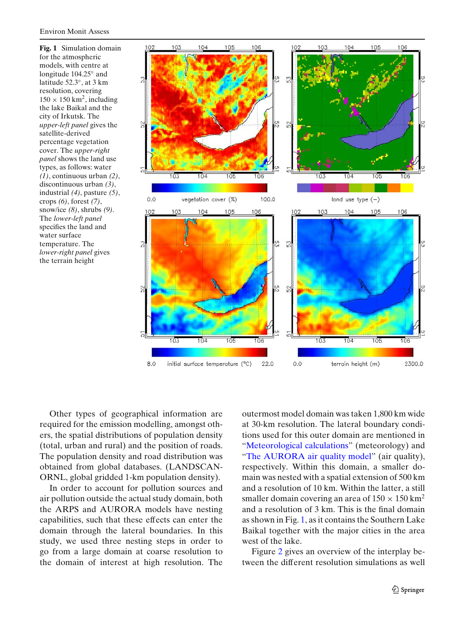<span id="page-2-0"></span>**Fig. 1** Simulation domain for the atmospheric models, with centre at longitude 104.25◦ and latitude 52.3◦, at 3 km resolution, covering  $150 \times 150$  km<sup>2</sup>, including the lake Baikal and the city of Irkutsk. The *upper-left panel* gives the satellite-derived percentage vegetation cover. The *upper-right panel* shows the land use types, as follows: water *(1)*, continuous urban *(2)*, discontinuous urban *(3)*, industrial *(4)*, pasture *(5)*, crops *(6)*, forest *(7)*, snow/ice *(8)*, shrubs *(9)*. The *lower-left panel* specifies the land and water surface temperature. The *lower-right panel* gives the terrain height



Other types of geographical information are required for the emission modelling, amongst others, the spatial distributions of population density (total, urban and rural) and the position of roads. The population density and road distribution was obtained from global databases. (LANDSCAN-ORNL, global gridded 1-km population density).

In order to account for pollution sources and air pollution outside the actual study domain, both the ARPS and AURORA models have nesting capabilities, such that these effects can enter the domain through the lateral boundaries. In this study, we used three nesting steps in order to go from a large domain at coarse resolution to the domain of interest at high resolution. The outermost model domain was taken 1,800 km wide at 30-km resolution. The lateral boundary conditions used for this outer domain are mentioned in ["Meteorological calculations"](#page-3-0) (meteorology) and ["The AURORA air quality model"](#page-4-0) (air quality), respectively. Within this domain, a smaller domain was nested with a spatial extension of 500 km and a resolution of 10 km. Within the latter, a still smaller domain covering an area of  $150 \times 150$  km<sup>2</sup> and a resolution of 3 km. This is the final domain as shown in Fig. 1, as it contains the Southern Lake Baikal together with the major cities in the area west of the lake.

Figure [2](#page-3-0) gives an overview of the interplay between the different resolution simulations as well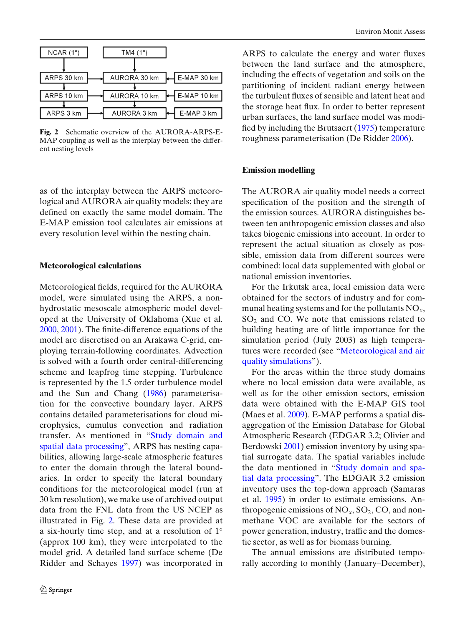<span id="page-3-0"></span>

**Fig. 2** Schematic overview of the AURORA-ARPS-E-MAP coupling as well as the interplay between the different nesting levels

as of the interplay between the ARPS meteorological and AURORA air quality models; they are defined on exactly the same model domain. The E-MAP emission tool calculates air emissions at every resolution level within the nesting chain.

#### **Meteorological calculations**

Meteorological fields, required for the AURORA model, were simulated using the ARPS, a nonhydrostatic mesoscale atmospheric model developed at the University of Oklahoma (Xue et al[.](#page-9-0) [2000,](#page-9-0) [2001\)](#page-9-0). The finite-difference equations of the model are discretised on an Arakawa C-grid, employing terrain-following coordinates. Advection is solved with a fourth order central-differencing scheme and leapfrog time stepping. Turbulence is represented by the 1.5 order turbulence model and the Sun and Chan[g](#page-9-0) [\(1986](#page-9-0)) parameterisation for the convective boundary layer. ARPS contains detailed parameterisations for cloud microphysics, cumulus convection and radiation transfer. As mentioned in ["Study domain and](#page-1-0) [spatial data processing"](#page-1-0), ARPS has nesting capabilities, allowing large-scale atmospheric features to enter the domain through the lateral boundaries. In order to specify the lateral boundary conditions for the meteorological model (run at 30 km resolution), we make use of archived output data from the FNL data from the US NCEP as illustrated in Fig. 2. These data are provided at a six-hourly time step, and at a resolution of 1◦ (approx 100 km), they were interpolated to the model grid. A detailed land surface scheme (De Ridder and Schaye[s](#page-9-0) [1997\)](#page-9-0) was incorporated in

ARPS to calculate the energy and water fluxes between the land surface and the atmosphere, including the effects of vegetation and soils on the partitioning of incident radiant energy between the turbulent fluxes of sensible and latent heat and the storage heat flux. In order to better represent urban surfaces, the land surface model was modified by including the Brutsaer[t](#page-9-0) [\(1975\)](#page-9-0) temperature roughness parameterisation (De Ridde[r](#page-9-0) [2006\)](#page-9-0).

#### **Emission modelling**

The AURORA air quality model needs a correct specification of the position and the strength of the emission sources. AURORA distinguishes between ten anthropogenic emission classes and also takes biogenic emissions into account. In order to represent the actual situation as closely as possible, emission data from different sources were combined: local data supplemented with global or national emission inventories.

For the Irkutsk area, local emission data were obtained for the sectors of industry and for communal heating systems and for the pollutants NO*x*,  $SO<sub>2</sub>$  and CO. We note that emissions related to building heating are of little importance for the simulation period (July 2003) as high temperatures were recorded (see ["Meteorological and air](#page-5-0) [quality simulations"](#page-5-0)).

For the areas within the three study domains where no local emission data were available, as well as for the other emission sectors, emission data were obtained with the E-MAP GIS tool (Maes et al[.](#page-9-0) [2009](#page-9-0)). E-MAP performs a spatial disaggregation of the Emission Database for Global Atmospheric Research (EDGAR 3.2; Olivier and Berdowsk[i](#page-9-0) [2001\)](#page-9-0) emission inventory by using spatial surrogate data. The spatial variables include the data mentioned in ["Study domain and spa](#page-1-0)[tial data processing"](#page-1-0). The EDGAR 3.2 emission inventory uses the top-down approach (Samaras et al. [1995\)](#page-9-0) in order to estimate emissions. Anthropogenic emissions of  $NO<sub>x</sub>$ ,  $SO<sub>2</sub>$ ,  $CO$ , and nonmethane VOC are available for the sectors of power generation, industry, traffic and the domestic sector, as well as for biomass burning.

The annual emissions are distributed temporally according to monthly (January–December),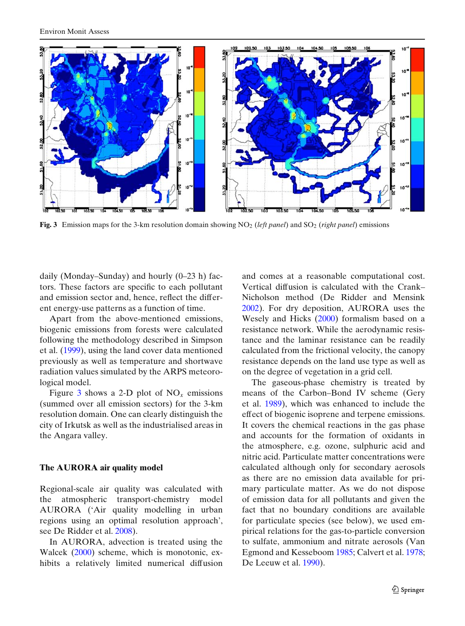<span id="page-4-0"></span>

**Fig. 3** Emission maps for the 3-km resolution domain showing NO<sub>2</sub> (*left panel*) and SO<sub>2</sub> (*right panel*) emissions

daily (Monday–Sunday) and hourly (0–23 h) factors. These factors are specific to each pollutant and emission sector and, hence, reflect the different energy-use patterns as a function of time.

Apart from the above-mentioned emissions, biogenic emissions from forests were calculated following the methodology described in Simpson et al[.](#page-9-0) [\(1999\)](#page-9-0), using the land cover data mentioned previously as well as temperature and shortwave radiation values simulated by the ARPS meteorological model.

Figure 3 shows a 2-D plot of  $NO<sub>x</sub>$  emissions (summed over all emission sectors) for the 3-km resolution domain. One can clearly distinguish the city of Irkutsk as well as the industrialised areas in the Angara valley.

#### **The AURORA air quality model**

Regional-scale air quality was calculated with the atmospheric transport-chemistry model AURORA ('Air quality modelling in urban regions using an optimal resolution approach', see De Ridder et al. [2008\)](#page-9-0).

In AURORA, advection is treated using the Walce[k](#page-9-0) [\(2000\)](#page-9-0) scheme, which is monotonic, exhibits a relatively limited numerical diffusion and comes at a reasonable computational cost. Vertical diffusion is calculated with the Crank– Nicholson method (De Ridder and Mensin[k](#page-9-0) [2002\)](#page-9-0). For dry deposition, AURORA uses the Wesely and Hick[s](#page-9-0) [\(2000](#page-9-0)) formalism based on a resistance network. While the aerodynamic resistance and the laminar resistance can be readily calculated from the frictional velocity, the canopy resistance depends on the land use type as well as on the degree of vegetation in a grid cell.

The gaseous-phase chemistry is treated by means of the Carbon–Bond IV scheme (Gery et al[.](#page-9-0) [1989\)](#page-9-0), which was enhanced to include the effect of biogenic isoprene and terpene emissions. It covers the chemical reactions in the gas phase and accounts for the formation of oxidants in the atmosphere, e.g. ozone, sulphuric acid and nitric acid. Particulate matter concentrations were calculated although only for secondary aerosols as there are no emission data available for primary particulate matter. As we do not dispose of emission data for all pollutants and given the fact that no boundary conditions are available for particulate species (see below), we used empirical relations for the gas-to-particle conversion to sulfate, ammonium and nitrate aerosols (Van Egmond and Kesseboo[m](#page-9-0) [1985;](#page-9-0) Calvert et al[.](#page-9-0) [1978;](#page-9-0) De Leeuw et al[.](#page-9-0) [1990](#page-9-0)).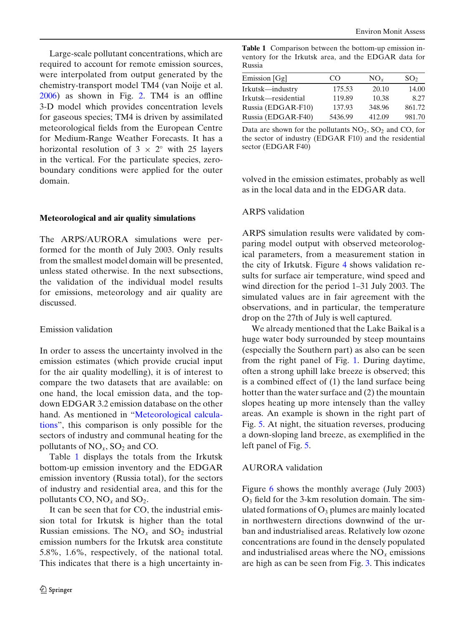<span id="page-5-0"></span>Large-scale pollutant concentrations, which are required to account for remote emission sources, were interpolated from output generated by the chemistry-transport model TM4 (van Noije et al[.](#page-9-0) [2006\)](#page-9-0) as shown in Fig. [2.](#page-3-0) TM4 is an offline 3-D model which provides concentration levels for gaseous species; TM4 is driven by assimilated meteorological fields from the European Centre for Medium-Range Weather Forecasts. It has a horizontal resolution of  $3 \times 2°$  with 25 layers in the vertical. For the particulate species, zeroboundary conditions were applied for the outer domain.

#### **Meteorological and air quality simulations**

The ARPS/AURORA simulations were performed for the month of July 2003. Only results from the smallest model domain will be presented, unless stated otherwise. In the next subsections, the validation of the individual model results for emissions, meteorology and air quality are discussed.

### Emission validation

In order to assess the uncertainty involved in the emission estimates (which provide crucial input for the air quality modelling), it is of interest to compare the two datasets that are available: on one hand, the local emission data, and the topdown EDGAR 3.2 emission database on the other hand. As mentioned in ["Meteorological calcula](#page-3-0)[tions"](#page-3-0), this comparison is only possible for the sectors of industry and communal heating for the pollutants of  $NO_x$ ,  $SO_2$  and CO.

Table 1 displays the totals from the Irkutsk bottom-up emission inventory and the EDGAR emission inventory (Russia total), for the sectors of industry and residential area, and this for the pollutants CO,  $NO<sub>x</sub>$  and  $SO<sub>2</sub>$ .

It can be seen that for CO, the industrial emission total for Irkutsk is higher than the total Russian emissions. The  $NO<sub>x</sub>$  and  $SO<sub>2</sub>$  industrial emission numbers for the Irkutsk area constitute 5.8%, 1.6%, respectively, of the national total. This indicates that there is a high uncertainty in**Table 1** Comparison between the bottom-up emission inventory for the Irkutsk area, and the EDGAR data for Russia

| Emission [Gg]       | ററ      | $NO_{Y}$ | SO <sub>2</sub> |  |
|---------------------|---------|----------|-----------------|--|
| Irkutsk-industry    | 175.53  | 20.10    | 14.00           |  |
| Irkutsk—residential | 119.89  | 10.38    | 8.27            |  |
| Russia (EDGAR-F10)  | 137.93  | 348.96   | 861.72          |  |
| Russia (EDGAR-F40)  | 5436.99 | 412.09   | 981.70          |  |

Data are shown for the pollutants  $NO<sub>2</sub>$ ,  $SO<sub>2</sub>$  and  $CO$ , for the sector of industry (EDGAR F10) and the residential sector (EDGAR F40)

volved in the emission estimates, probably as well as in the local data and in the EDGAR data.

# ARPS validation

ARPS simulation results were validated by comparing model output with observed meteorological parameters, from a measurement station in the city of Irkutsk. Figure [4](#page-6-0) shows validation results for surface air temperature, wind speed and wind direction for the period 1–31 July 2003. The simulated values are in fair agreement with the observations, and in particular, the temperature drop on the 27th of July is well captured.

We already mentioned that the Lake Baikal is a huge water body surrounded by steep mountains (especially the Southern part) as also can be seen from the right panel of Fig. [1.](#page-2-0) During daytime, often a strong uphill lake breeze is observed; this is a combined effect of (1) the land surface being hotter than the water surface and (2) the mountain slopes heating up more intensely than the valley areas. An example is shown in the right part of Fig. [5.](#page-7-0) At night, the situation reverses, producing a down-sloping land breeze, as exemplified in the left panel of Fig. [5.](#page-7-0)

#### AURORA validation

Figure [6](#page-7-0) shows the monthly average (July 2003) O<sup>3</sup> field for the 3-km resolution domain. The simulated formations of  $O_3$  plumes are mainly located in northwestern directions downwind of the urban and industrialised areas. Relatively low ozone concentrations are found in the densely populated and industrialised areas where the  $NO<sub>x</sub>$  emissions are high as can be seen from Fig. [3.](#page-4-0) This indicates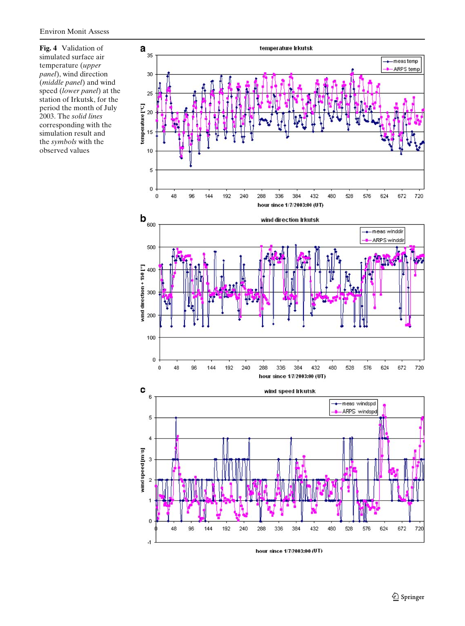<span id="page-6-0"></span>**Fig. 4** Validation of simulated surface air temperature (*upper panel*), wind direction (*middle panel*) and wind speed (*lower panel*) at the station of Irkutsk, for the period the month of July 2003. The *solid lines* corresponding with the simulation result and the *symbols* with the observed values



hour since 1/7/2003:00 (UT)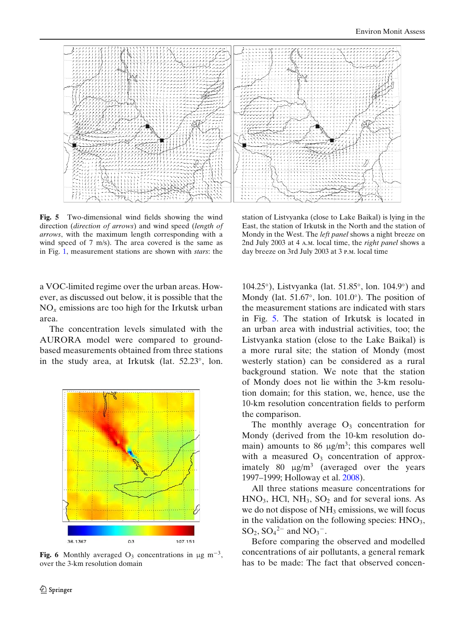<span id="page-7-0"></span>

**Fig. 5** Two-dimensional wind fields showing the wind direction (*direction of arrows*) and wind speed (*length of arrows*, with the maximum length corresponding with a wind speed of 7 m/s). The area covered is the same as in Fig. [1,](#page-2-0) measurement stations are shown with *stars*: the

a VOC-limited regime over the urban areas. However, as discussed out below, it is possible that the NO*<sup>x</sup>* emissions are too high for the Irkutsk urban area.

The concentration levels simulated with the AURORA model were compared to groundbased measurements obtained from three stations in the study area, at Irkutsk (lat. 52.23◦, lon.



**Fig. 6** Monthly averaged  $O_3$  concentrations in  $\mu$ g m<sup>-3</sup>, over the 3-km resolution domain

station of Listvyanka (close to Lake Baikal) is lying in the East, the station of Irkutsk in the North and the station of Mondy in the West. The *left panel* shows a night breeze on 2nd July 2003 at 4 a.m. local time, the *right panel* shows a day breeze on 3rd July 2003 at 3 p.m. local time

104.25◦), Listvyanka (lat. 51.85◦, lon. 104.9◦) and Mondy (lat. 51.67◦, lon. 101.0◦). The position of the measurement stations are indicated with stars in Fig. 5. The station of Irkutsk is located in an urban area with industrial activities, too; the Listvyanka station (close to the Lake Baikal) is a more rural site; the station of Mondy (most westerly station) can be considered as a rural background station. We note that the station of Mondy does not lie within the 3-km resolution domain; for this station, we, hence, use the 10-km resolution concentration fields to perform the comparison.

The monthly average  $O_3$  concentration for Mondy (derived from the 10-km resolution domain) amounts to 86  $\mu$ g/m<sup>3</sup>; this compares well with a measured  $O_3$  concentration of approximately 80  $\mu$ g/m<sup>3</sup> (averaged over the years 1997–1999; Holloway et al. [2008](#page-9-0)).

All three stations measure concentrations for  $HNO<sub>3</sub>$ , HCl, NH<sub>3</sub>, SO<sub>2</sub> and for several ions. As we do not dispose of  $NH<sub>3</sub>$  emissions, we will focus in the validation on the following species:  $HNO<sub>3</sub>$ ,  $SO_2$ ,  $SO_4^2$ <sup>-</sup> and  $NO_3^-$ .

Before comparing the observed and modelled concentrations of air pollutants, a general remark has to be made: The fact that observed concen-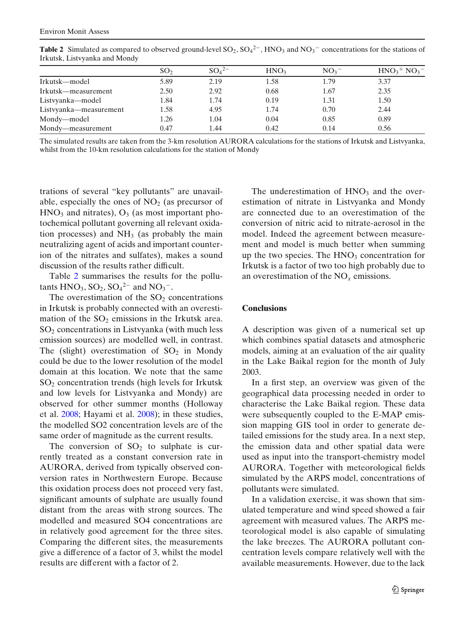| SO <sub>2</sub> | SO <sub>4</sub> <sup>2–</sup> | HNO <sub>3</sub> | $NO_3$ <sup>-</sup> | $HNO3+ NO3-$ |  |  |  |
|-----------------|-------------------------------|------------------|---------------------|--------------|--|--|--|
| 5.89            | 2.19                          | 1.58             | 1.79                | 3.37         |  |  |  |
| 2.50            | 2.92                          | 0.68             | 1.67                | 2.35         |  |  |  |
| 1.84            | 1.74                          | 0.19             | 1.31                | 1.50         |  |  |  |
| 1.58            | 4.95                          | 1.74             | 0.70                | 2.44         |  |  |  |
| 1.26            | 1.04                          | 0.04             | 0.85                | 0.89         |  |  |  |
| 0.47            | 1.44                          | 0.42             | 0.14                | 0.56         |  |  |  |
|                 |                               |                  |                     |              |  |  |  |

<span id="page-8-0"></span>**Table 2** Simulated as compared to observed ground-level  $SO_2$ ,  $SO_4^2$ <sup>-</sup>,  $HNO_3$  and  $NO_3^-$  concentrations for the stations of Irkutsk, Listvyanka and Mondy

The simulated results are taken from the 3-km resolution AURORA calculations for the stations of Irkutsk and Listvyanka, whilst from the 10-km resolution calculations for the station of Mondy

trations of several "key pollutants" are unavailable, especially the ones of  $NO<sub>2</sub>$  (as precursor of  $HNO<sub>3</sub>$  and nitrates),  $O<sub>3</sub>$  (as most important photochemical pollutant governing all relevant oxidation processes) and  $NH<sub>3</sub>$  (as probably the main neutralizing agent of acids and important counterion of the nitrates and sulfates), makes a sound discussion of the results rather difficult.

Table 2 summarises the results for the pollutants  $HNO_3$ ,  $SO_2$ ,  $SO_4^{2-}$  and  $NO_3^-$ .

The overestimation of the  $SO<sub>2</sub>$  concentrations in Irkutsk is probably connected with an overestimation of the  $SO<sub>2</sub>$  emissions in the Irkutsk area. SO<sup>2</sup> concentrations in Listvyanka (with much less emission sources) are modelled well, in contrast. The (slight) overestimation of  $SO_2$  in Mondy could be due to the lower resolution of the model domain at this location. We note that the same SO<sup>2</sup> concentration trends (high levels for Irkutsk and low levels for Listvyanka and Mondy) are observed for other summer months (Holloway et al[.](#page-9-0) [2008](#page-9-0); Hayami et al[.](#page-9-0) [2008\)](#page-9-0); in these studies, the modelled SO2 concentration levels are of the same order of magnitude as the current results.

The conversion of  $SO<sub>2</sub>$  to sulphate is currently treated as a constant conversion rate in AURORA, derived from typically observed conversion rates in Northwestern Europe. Because this oxidation process does not proceed very fast, significant amounts of sulphate are usually found distant from the areas with strong sources. The modelled and measured SO4 concentrations are in relatively good agreement for the three sites. Comparing the different sites, the measurements give a difference of a factor of 3, whilst the model results are different with a factor of 2.

The underestimation of  $HNO<sub>3</sub>$  and the overestimation of nitrate in Listvyanka and Mondy are connected due to an overestimation of the conversion of nitric acid to nitrate-aerosol in the model. Indeed the agreement between measurement and model is much better when summing up the two species. The  $HNO<sub>3</sub>$  concentration for Irkutsk is a factor of two too high probably due to an overestimation of the NO*<sup>x</sup>* emissions.

#### **Conclusions**

A description was given of a numerical set up which combines spatial datasets and atmospheric models, aiming at an evaluation of the air quality in the Lake Baikal region for the month of July 2003.

In a first step, an overview was given of the geographical data processing needed in order to characterise the Lake Baikal region. These data were subsequently coupled to the E-MAP emission mapping GIS tool in order to generate detailed emissions for the study area. In a next step, the emission data and other spatial data were used as input into the transport-chemistry model AURORA. Together with meteorological fields simulated by the ARPS model, concentrations of pollutants were simulated.

In a validation exercise, it was shown that simulated temperature and wind speed showed a fair agreement with measured values. The ARPS meteorological model is also capable of simulating the lake breezes. The AURORA pollutant concentration levels compare relatively well with the available measurements. However, due to the lack